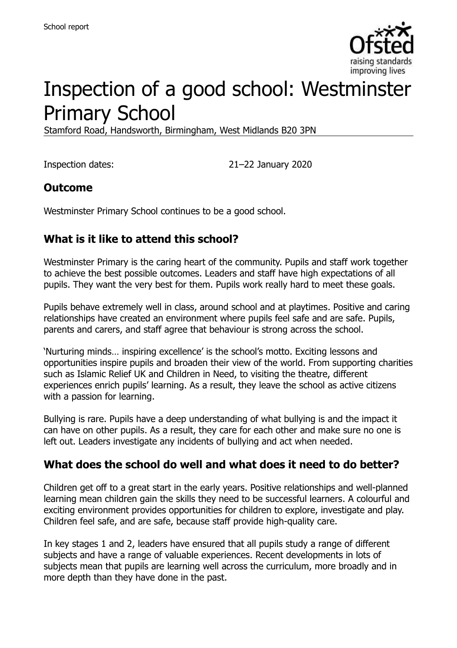

# Inspection of a good school: Westminster Primary School

Stamford Road, Handsworth, Birmingham, West Midlands B20 3PN

Inspection dates: 21–22 January 2020

### **Outcome**

Westminster Primary School continues to be a good school.

## **What is it like to attend this school?**

Westminster Primary is the caring heart of the community. Pupils and staff work together to achieve the best possible outcomes. Leaders and staff have high expectations of all pupils. They want the very best for them. Pupils work really hard to meet these goals.

Pupils behave extremely well in class, around school and at playtimes. Positive and caring relationships have created an environment where pupils feel safe and are safe. Pupils, parents and carers, and staff agree that behaviour is strong across the school.

'Nurturing minds… inspiring excellence' is the school's motto. Exciting lessons and opportunities inspire pupils and broaden their view of the world. From supporting charities such as Islamic Relief UK and Children in Need, to visiting the theatre, different experiences enrich pupils' learning. As a result, they leave the school as active citizens with a passion for learning.

Bullying is rare. Pupils have a deep understanding of what bullying is and the impact it can have on other pupils. As a result, they care for each other and make sure no one is left out. Leaders investigate any incidents of bullying and act when needed.

### **What does the school do well and what does it need to do better?**

Children get off to a great start in the early years. Positive relationships and well-planned learning mean children gain the skills they need to be successful learners. A colourful and exciting environment provides opportunities for children to explore, investigate and play. Children feel safe, and are safe, because staff provide high-quality care.

In key stages 1 and 2, leaders have ensured that all pupils study a range of different subjects and have a range of valuable experiences. Recent developments in lots of subjects mean that pupils are learning well across the curriculum, more broadly and in more depth than they have done in the past.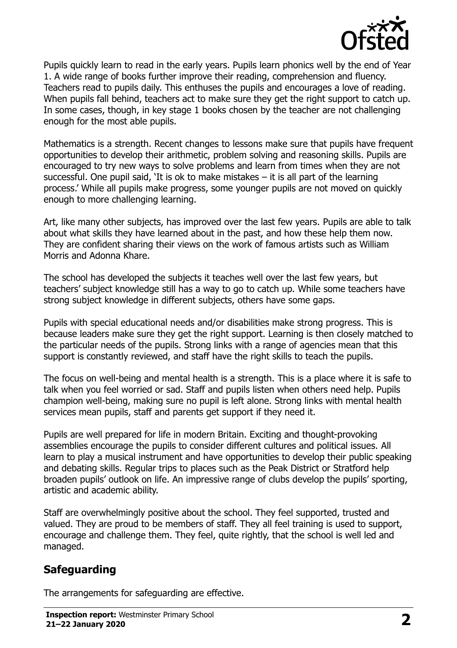

Pupils quickly learn to read in the early years. Pupils learn phonics well by the end of Year 1. A wide range of books further improve their reading, comprehension and fluency. Teachers read to pupils daily. This enthuses the pupils and encourages a love of reading. When pupils fall behind, teachers act to make sure they get the right support to catch up. In some cases, though, in key stage 1 books chosen by the teacher are not challenging enough for the most able pupils.

Mathematics is a strength. Recent changes to lessons make sure that pupils have frequent opportunities to develop their arithmetic, problem solving and reasoning skills. Pupils are encouraged to try new ways to solve problems and learn from times when they are not successful. One pupil said, 'It is ok to make mistakes – it is all part of the learning process.' While all pupils make progress, some younger pupils are not moved on quickly enough to more challenging learning.

Art, like many other subjects, has improved over the last few years. Pupils are able to talk about what skills they have learned about in the past, and how these help them now. They are confident sharing their views on the work of famous artists such as William Morris and Adonna Khare.

The school has developed the subjects it teaches well over the last few years, but teachers' subject knowledge still has a way to go to catch up. While some teachers have strong subject knowledge in different subjects, others have some gaps.

Pupils with special educational needs and/or disabilities make strong progress. This is because leaders make sure they get the right support. Learning is then closely matched to the particular needs of the pupils. Strong links with a range of agencies mean that this support is constantly reviewed, and staff have the right skills to teach the pupils.

The focus on well-being and mental health is a strength. This is a place where it is safe to talk when you feel worried or sad. Staff and pupils listen when others need help. Pupils champion well-being, making sure no pupil is left alone. Strong links with mental health services mean pupils, staff and parents get support if they need it.

Pupils are well prepared for life in modern Britain. Exciting and thought-provoking assemblies encourage the pupils to consider different cultures and political issues. All learn to play a musical instrument and have opportunities to develop their public speaking and debating skills. Regular trips to places such as the Peak District or Stratford help broaden pupils' outlook on life. An impressive range of clubs develop the pupils' sporting, artistic and academic ability.

Staff are overwhelmingly positive about the school. They feel supported, trusted and valued. They are proud to be members of staff. They all feel training is used to support, encourage and challenge them. They feel, quite rightly, that the school is well led and managed.

## **Safeguarding**

The arrangements for safeguarding are effective.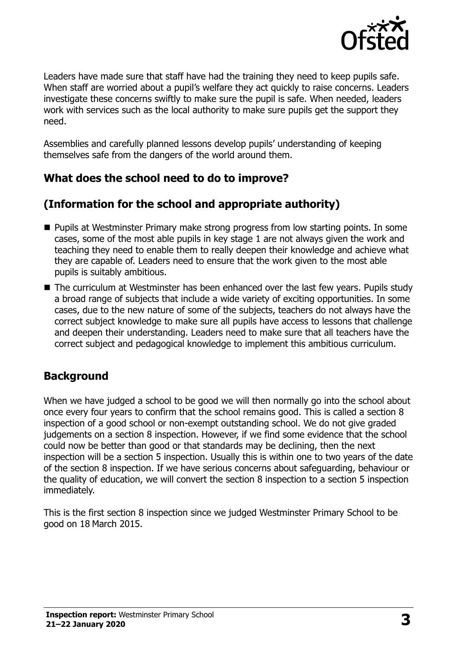

Leaders have made sure that staff have had the training they need to keep pupils safe. When staff are worried about a pupil's welfare they act quickly to raise concerns. Leaders investigate these concerns swiftly to make sure the pupil is safe. When needed, leaders work with services such as the local authority to make sure pupils get the support they need.

Assemblies and carefully planned lessons develop pupils' understanding of keeping themselves safe from the dangers of the world around them.

## **What does the school need to do to improve?**

## **(Information for the school and appropriate authority)**

- **Pupils at Westminster Primary make strong progress from low starting points. In some** cases, some of the most able pupils in key stage 1 are not always given the work and teaching they need to enable them to really deepen their knowledge and achieve what they are capable of. Leaders need to ensure that the work given to the most able pupils is suitably ambitious.
- The curriculum at Westminster has been enhanced over the last few years. Pupils study a broad range of subjects that include a wide variety of exciting opportunities. In some cases, due to the new nature of some of the subjects, teachers do not always have the correct subject knowledge to make sure all pupils have access to lessons that challenge and deepen their understanding. Leaders need to make sure that all teachers have the correct subject and pedagogical knowledge to implement this ambitious curriculum.

### **Background**

When we have judged a school to be good we will then normally go into the school about once every four years to confirm that the school remains good. This is called a section 8 inspection of a good school or non-exempt outstanding school. We do not give graded judgements on a section 8 inspection. However, if we find some evidence that the school could now be better than good or that standards may be declining, then the next inspection will be a section 5 inspection. Usually this is within one to two years of the date of the section 8 inspection. If we have serious concerns about safeguarding, behaviour or the quality of education, we will convert the section 8 inspection to a section 5 inspection immediately.

This is the first section 8 inspection since we judged Westminster Primary School to be good on 18 March 2015.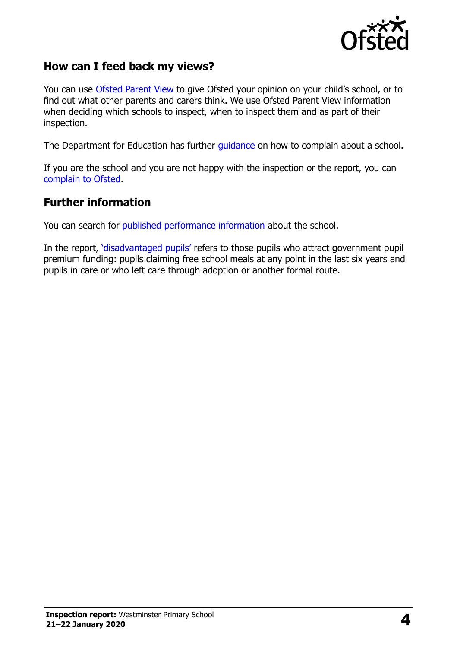

### **How can I feed back my views?**

You can use [Ofsted Parent View](https://parentview.ofsted.gov.uk/) to give Ofsted your opinion on your child's school, or to find out what other parents and carers think. We use Ofsted Parent View information when deciding which schools to inspect, when to inspect them and as part of their inspection.

The Department for Education has further [guidance](http://www.gov.uk/complain-about-school) on how to complain about a school.

If you are the school and you are not happy with the inspection or the report, you can [complain to Ofsted.](https://www.gov.uk/complain-ofsted-report)

#### **Further information**

You can search for [published performance information](http://www.compare-school-performance.service.gov.uk/) about the school.

In the report, '[disadvantaged pupils](http://www.gov.uk/guidance/pupil-premium-information-for-schools-and-alternative-provision-settings)' refers to those pupils who attract government pupil premium funding: pupils claiming free school meals at any point in the last six years and pupils in care or who left care through adoption or another formal route.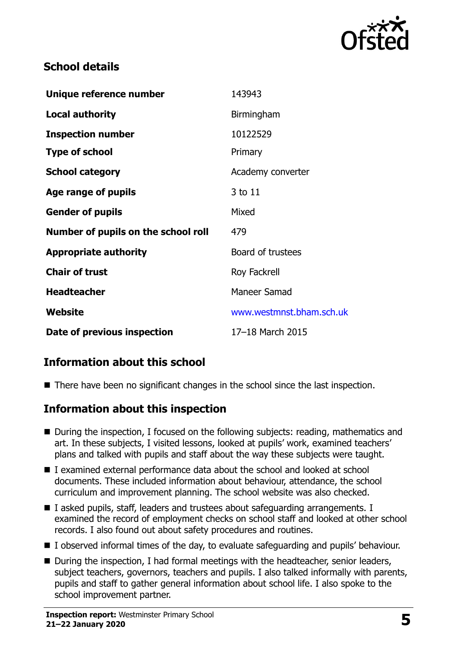

## **School details**

| Unique reference number             | 143943                   |
|-------------------------------------|--------------------------|
| <b>Local authority</b>              | Birmingham               |
| <b>Inspection number</b>            | 10122529                 |
| <b>Type of school</b>               | Primary                  |
| <b>School category</b>              | Academy converter        |
| Age range of pupils                 | 3 to 11                  |
| <b>Gender of pupils</b>             | Mixed                    |
| Number of pupils on the school roll | 479                      |
| <b>Appropriate authority</b>        | Board of trustees        |
| <b>Chair of trust</b>               | Roy Fackrell             |
| <b>Headteacher</b>                  | Maneer Samad             |
| Website                             | www.westmnst.bham.sch.uk |
| Date of previous inspection         | 17-18 March 2015         |

## **Information about this school**

■ There have been no significant changes in the school since the last inspection.

### **Information about this inspection**

- During the inspection, I focused on the following subjects: reading, mathematics and art. In these subjects, I visited lessons, looked at pupils' work, examined teachers' plans and talked with pupils and staff about the way these subjects were taught.
- I examined external performance data about the school and looked at school documents. These included information about behaviour, attendance, the school curriculum and improvement planning. The school website was also checked.
- I asked pupils, staff, leaders and trustees about safeguarding arrangements. I examined the record of employment checks on school staff and looked at other school records. I also found out about safety procedures and routines.
- I observed informal times of the day, to evaluate safeguarding and pupils' behaviour.
- During the inspection, I had formal meetings with the headteacher, senior leaders, subject teachers, governors, teachers and pupils. I also talked informally with parents, pupils and staff to gather general information about school life. I also spoke to the school improvement partner.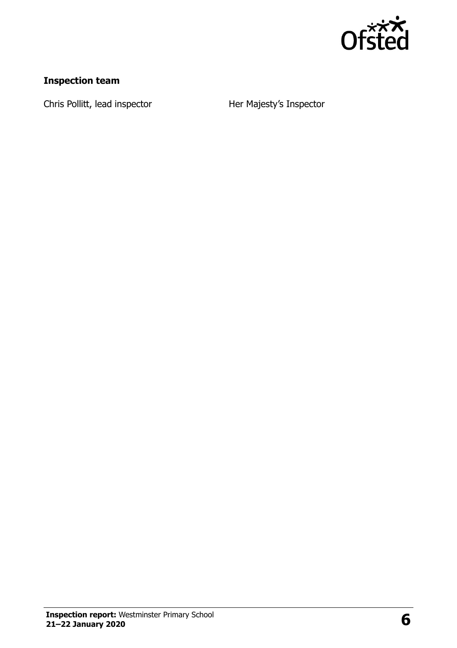

## **Inspection team**

Chris Pollitt, lead inspector **Her Majesty's Inspector**